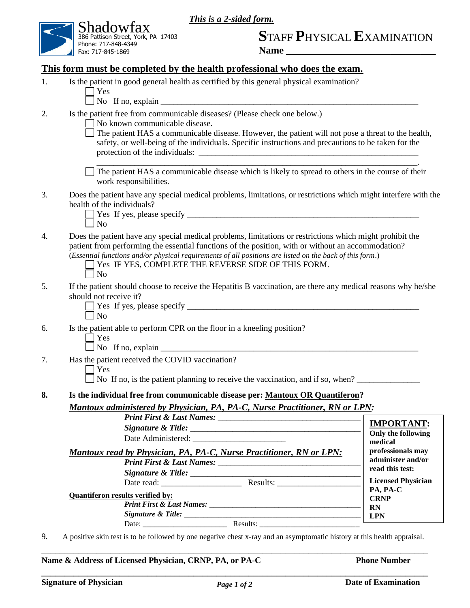*This is a 2-sided form.*



# **S**TAFF **P**HYSICAL **E**XAMINATION

**Name \_\_\_\_\_\_\_\_\_\_\_\_\_\_\_\_\_\_\_\_\_\_\_\_\_\_\_\_\_\_**

| 1. | Is the patient in good general health as certified by this general physical examination?                                                                                                                                                                                                                                                                                                            |                                        |
|----|-----------------------------------------------------------------------------------------------------------------------------------------------------------------------------------------------------------------------------------------------------------------------------------------------------------------------------------------------------------------------------------------------------|----------------------------------------|
|    | Yes<br>No If no, explain $\frac{1}{\sqrt{1-\frac{1}{2}}}\left\{ \frac{1}{\sqrt{1-\frac{1}{2}}}\right\}$                                                                                                                                                                                                                                                                                             |                                        |
| 2. | Is the patient free from communicable diseases? (Please check one below.)<br>No known communicable disease.                                                                                                                                                                                                                                                                                         |                                        |
|    | The patient HAS a communicable disease. However, the patient will not pose a threat to the health,<br>safety, or well-being of the individuals. Specific instructions and precautions to be taken for the                                                                                                                                                                                           |                                        |
|    | The patient HAS a communicable disease which is likely to spread to others in the course of their<br>work responsibilities.                                                                                                                                                                                                                                                                         |                                        |
| 3. | Does the patient have any special medical problems, limitations, or restrictions which might interfere with the<br>health of the individuals?<br>N <sub>o</sub>                                                                                                                                                                                                                                     |                                        |
| 4. | Does the patient have any special medical problems, limitations or restrictions which might prohibit the<br>patient from performing the essential functions of the position, with or without an accommodation?<br>(Essential functions and/or physical requirements of all positions are listed on the back of this form.)<br>Yes IF YES, COMPLETE THE REVERSE SIDE OF THIS FORM.<br>N <sub>o</sub> |                                        |
| 5. | If the patient should choose to receive the Hepatitis B vaccination, are there any medical reasons why he/she<br>should not receive it?<br>$\overline{N}$<br>Is the patient able to perform CPR on the floor in a kneeling position?<br>Yes                                                                                                                                                         |                                        |
| 6. |                                                                                                                                                                                                                                                                                                                                                                                                     |                                        |
| 7. | Has the patient received the COVID vaccination?<br>Yes<br>No If no, is the patient planning to receive the vaccination, and if so, when?                                                                                                                                                                                                                                                            |                                        |
| 8. | Is the individual free from communicable disease per: Mantoux OR Quantiferon?<br>Mantoux administered by Physician, PA, PA-C, Nurse Practitioner, RN or LPN:                                                                                                                                                                                                                                        |                                        |
|    |                                                                                                                                                                                                                                                                                                                                                                                                     | <b>IMPORTANT:</b>                      |
|    |                                                                                                                                                                                                                                                                                                                                                                                                     | Only the following                     |
|    |                                                                                                                                                                                                                                                                                                                                                                                                     | medical                                |
|    | Mantoux read by Physician, PA, PA-C, Nurse Practitioner, RN or LPN:                                                                                                                                                                                                                                                                                                                                 | professionals may<br>administer and/or |
|    |                                                                                                                                                                                                                                                                                                                                                                                                     | read this test:                        |
|    |                                                                                                                                                                                                                                                                                                                                                                                                     | <b>Licensed Physician</b>              |
|    | <b>Quantiferon results verified by:</b>                                                                                                                                                                                                                                                                                                                                                             | PA, PA-C                               |
|    |                                                                                                                                                                                                                                                                                                                                                                                                     | <b>CRNP</b><br><b>RN</b>               |
|    |                                                                                                                                                                                                                                                                                                                                                                                                     | <b>LPN</b>                             |
|    |                                                                                                                                                                                                                                                                                                                                                                                                     |                                        |

Name & Address of Licensed Physician, CRNP, PA, or PA-C Phone Number

\_\_\_\_\_\_\_\_\_\_\_\_\_\_\_\_\_\_\_\_\_\_\_\_\_\_\_\_\_\_\_\_\_\_\_\_\_\_\_\_\_\_\_\_\_\_\_\_\_\_\_\_\_\_\_\_\_\_\_\_\_\_\_\_\_\_\_\_\_\_\_\_\_\_\_\_\_\_\_\_\_\_\_\_